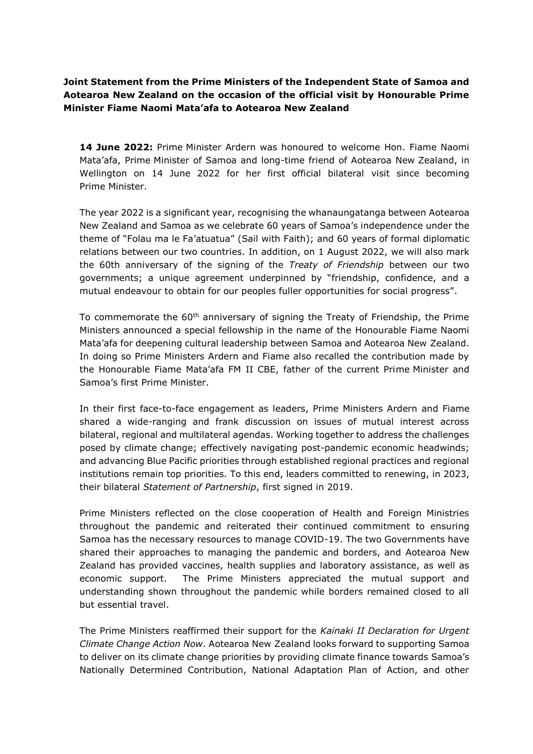## **Joint Statement from the Prime Ministers of the Independent State of Samoa and Aotearoa New Zealand on the occasion of the official visit by Honourable Prime Minister Fiame Naomi Mata'afa to Aotearoa New Zealand**

**14 June 2022:** Prime Minister Ardern was honoured to welcome Hon. Fiame Naomi Mata'afa, Prime Minister of Samoa and long-time friend of Aotearoa New Zealand, in Wellington on 14 June 2022 for her first official bilateral visit since becoming Prime Minister.

The year 2022 is a significant year, recognising the whanaungatanga between Aotearoa New Zealand and Samoa as we celebrate 60 years of Samoa's independence under the theme of "Folau ma le Fa'atuatua" (Sail with Faith); and 60 years of formal diplomatic relations between our two countries. In addition, on 1 August 2022, we will also mark the 60th anniversary of the signing of the *Treaty of Friendship* between our two governments; a unique agreement underpinned by "friendship, confidence, and a mutual endeavour to obtain for our peoples fuller opportunities for social progress".

To commemorate the  $60<sup>th</sup>$  anniversary of signing the Treaty of Friendship, the Prime Ministers announced a special fellowship in the name of the Honourable Fiame Naomi Mata'afa for deepening cultural leadership between Samoa and Aotearoa New Zealand. In doing so Prime Ministers Ardern and Fiame also recalled the contribution made by the Honourable Fiame Mata'afa FM II CBE, father of the current Prime Minister and Samoa's first Prime Minister.

In their first face-to-face engagement as leaders, Prime Ministers Ardern and Fiame shared a wide-ranging and frank discussion on issues of mutual interest across bilateral, regional and multilateral agendas. Working together to address the challenges posed by climate change; effectively navigating post-pandemic economic headwinds; and advancing Blue Pacific priorities through established regional practices and regional institutions remain top priorities. To this end, leaders committed to renewing, in 2023, their bilateral *Statement of Partnership*, first signed in 2019.

Prime Ministers reflected on the close cooperation of Health and Foreign Ministries throughout the pandemic and reiterated their continued commitment to ensuring Samoa has the necessary resources to manage COVID-19. The two Governments have shared their approaches to managing the pandemic and borders, and Aotearoa New Zealand has provided vaccines, health supplies and laboratory assistance, as well as economic support. The Prime Ministers appreciated the mutual support and understanding shown throughout the pandemic while borders remained closed to all but essential travel.

The Prime Ministers reaffirmed their support for the *Kainaki II Declaration for Urgent Climate Change Action Now*. Aotearoa New Zealand looks forward to supporting Samoa to deliver on its climate change priorities by providing climate finance towards Samoa's Nationally Determined Contribution, National Adaptation Plan of Action, and other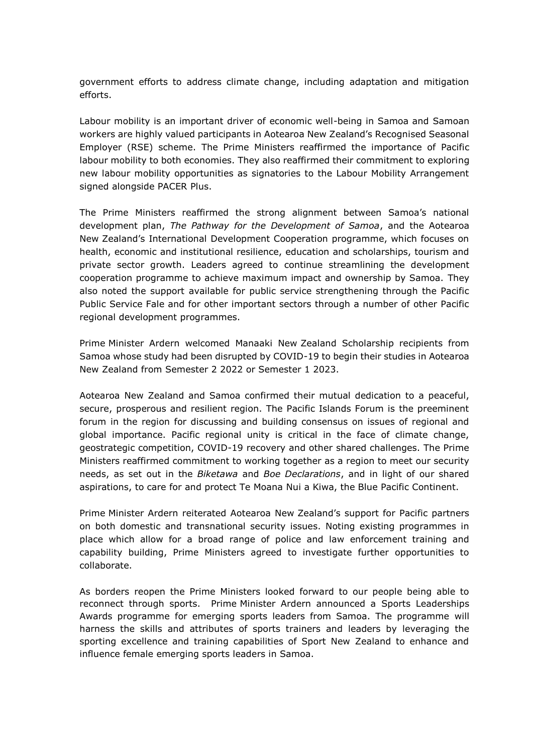government efforts to address climate change, including adaptation and mitigation efforts.

Labour mobility is an important driver of economic well-being in Samoa and Samoan workers are highly valued participants in Aotearoa New Zealand's Recognised Seasonal Employer (RSE) scheme. The Prime Ministers reaffirmed the importance of Pacific labour mobility to both economies. They also reaffirmed their commitment to exploring new labour mobility opportunities as signatories to the Labour Mobility Arrangement signed alongside PACER Plus.

The Prime Ministers reaffirmed the strong alignment between Samoa's national development plan, *The Pathway for the Development of Samoa*, and the Aotearoa New Zealand's International Development Cooperation programme, which focuses on health, economic and institutional resilience, education and scholarships, tourism and private sector growth. Leaders agreed to continue streamlining the development cooperation programme to achieve maximum impact and ownership by Samoa. They also noted the support available for public service strengthening through the Pacific Public Service Fale and for other important sectors through a number of other Pacific regional development programmes.

Prime Minister Ardern welcomed Manaaki New Zealand Scholarship recipients from Samoa whose study had been disrupted by COVID-19 to begin their studies in Aotearoa New Zealand from Semester 2 2022 or Semester 1 2023.

Aotearoa New Zealand and Samoa confirmed their mutual dedication to a peaceful, secure, prosperous and resilient region. The Pacific Islands Forum is the preeminent forum in the region for discussing and building consensus on issues of regional and global importance. Pacific regional unity is critical in the face of climate change, geostrategic competition, COVID-19 recovery and other shared challenges. The Prime Ministers reaffirmed commitment to working together as a region to meet our security needs, as set out in the *Biketawa* and *Boe Declarations*, and in light of our shared aspirations, to care for and protect Te Moana Nui a Kiwa, the Blue Pacific Continent.

Prime Minister Ardern reiterated Aotearoa New Zealand's support for Pacific partners on both domestic and transnational security issues. Noting existing programmes in place which allow for a broad range of police and law enforcement training and capability building, Prime Ministers agreed to investigate further opportunities to collaborate.

As borders reopen the Prime Ministers looked forward to our people being able to reconnect through sports. Prime Minister Ardern announced a Sports Leaderships Awards programme for emerging sports leaders from Samoa. The programme will harness the skills and attributes of sports trainers and leaders by leveraging the sporting excellence and training capabilities of Sport New Zealand to enhance and influence female emerging sports leaders in Samoa.